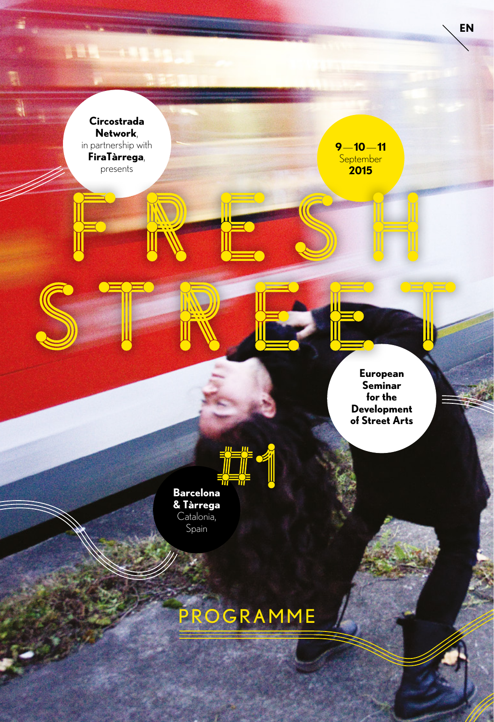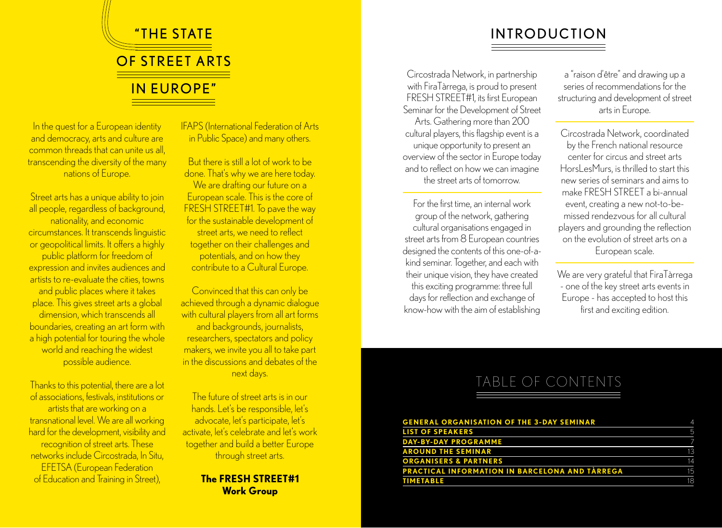# **"THE STATE** OF STREET ARTS IN EUROPE"

In the quest for a European identity and democracy, arts and culture are common threads that can unite us all, transcending the diversity of the many nations of Europe.

Street arts has a unique ability to join all people, regardless of background, nationality, and economic circumstances. It transcends linguistic or geopolitical limits. It offers a highly public platform for freedom of expression and invites audiences and artists to re-evaluate the cities, towns and public places where it takes place. This gives street arts a global dimension, which transcends all boundaries, creating an art form with a high potential for touring the whole world and reaching the widest possible audience.

Thanks to this potential, there are a lot of associations, festivals, institutions or artists that are working on a transnational level. We are all working hard for the development, visibility and recognition of street arts. These networks include Circostrada, In Situ, EFETSA (European Federation of Education and Training in Street),

IFAPS (International Federation of Arts in Public Space) and many others.

But there is still a lot of work to be done. That's why we are here today. We are drafting our future on a European scale. This is the core of FRESH STREET#1. To pave the way for the sustainable development of street arts, we need to reflect together on their challenges and potentials, and on how they contribute to a Cultural Europe.

Convinced that this can only be achieved through a dynamic dialogue with cultural players from all art forms and backgrounds, journalists, researchers, spectators and policy makers, we invite you all to take part in the discussions and debates of the next days.

The future of street arts is in our hands. Let's be responsible, let's advocate, let's participate, let's activate, let's celebrate and let's work together and build a better Europe through street arts.

**— 2 — — 3 — The FRESH STREET#1 Work Group**

# INTRODUCTION

Circostrada Network, in partnership with FiraTàrrega, is proud to present FRESH STREET#1, its first European Seminar for the Development of Street Arts. Gathering more than 200 cultural players, this flagship event is a unique opportunity to present an overview of the sector in Europe today

and to reflect on how we can imagine the street arts of tomorrow.

For the first time, an internal work group of the network, gathering cultural organisations engaged in street arts from 8 European countries designed the contents of this one-of-akind seminar. Together, and each with their unique vision, they have created this exciting programme: three full days for reflection and exchange of know-how with the aim of establishing

a "raison d'être" and drawing up a series of recommendations for the structuring and development of street arts in Europe.

Circostrada Network, coordinated by the French national resource center for circus and street arts HorsLesMurs, is thrilled to start this new series of seminars and aims to make FRESH STREET a bi-annual event, creating a new not-to-bemissed rendezvous for all cultural players and grounding the reflection on the evolution of street arts on a European scale.

We are very grateful that FiraTàrrega - one of the key street arts events in Europe - has accepted to host this first and exciting edition.

# TABLE OF CONTENTS

| <b>GENERAL ORGANISATION OF THE 3-DAY SEMINAR</b>      |    |
|-------------------------------------------------------|----|
| <b>LIST OF SPEAKERS</b>                               |    |
| <b>DAY-BY-DAY PROGRAMME</b>                           |    |
| <b>AROUND THE SEMINAR</b>                             | 13 |
| <b>ORGANISERS &amp; PARTNERS</b>                      | 14 |
| <b>PRACTICAL INFORMATION IN BARCELONA AND TÄRREGA</b> | 15 |
| <b>TIMETABLE</b>                                      | 18 |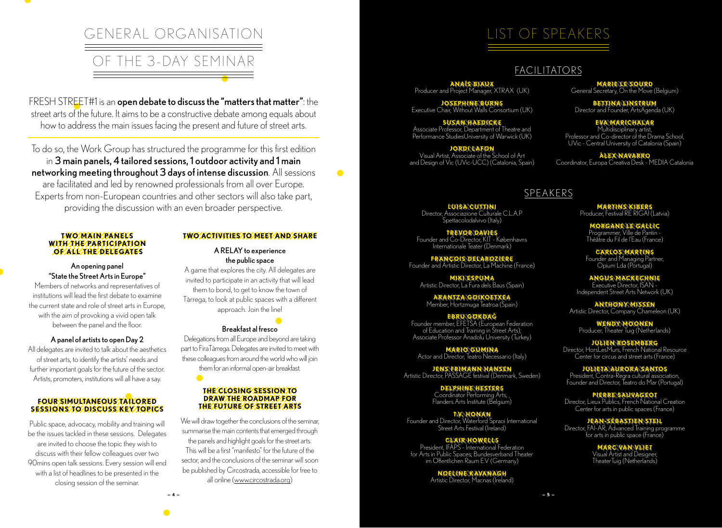# GENERAL ORGANISATION

# OF THE 3 -DAY SEMINAR

FRESH STREET#1 is an open debate to discuss the "matters that matter": the street arts of the future. It aims to be a constructive debate among equals about how to address the main issues facing the present and future of street arts.

To do so, the Work Group has structured the programme for this first edition in 3 main panels, 4 tailored sessions, 1 outdoor activity and 1 main networking meeting throughout 3 days of intense discussion. All sessions are facilitated and led by renowned professionals from all over Europe. Experts from non-European countries and other sectors will also take part, providing the discussion with an even broader perspective.

#### **TWO MAIN PANELS WITH THE PARTICIPATION OF ALL THE DELEGATES**

#### An opening panel "State the Street Arts in Europe"

Members of networks and representatives of institutions will lead the first debate to examine the current state and role of street arts in Europe, with the aim of provoking a vivid open talk between the panel and the floor.

#### A panel of artists to open Day 2

All delegates are invited to talk about the aesthetics of street arts, to identify the artists' needs and further important goals for the future of the sector. Artists, promoters, institutions will all have a say.

#### **FOUR SIMULTANEOUS TAILORED SESSIONS TO DISCUSS KEY TOPICS**

Public space, advocacy, mobility and training will be the issues tackled in these sessions. Delegates are invited to choose the topic they wish to discuss with their fellow colleagues over two 90mins open talk sessions. Every session will end with a list of headlines to be presented in the closing session of the seminar.

# **TWO ACTIVITIES TO MEET AND SHARE**

### A RELAY to experience the public space

A game that explores the city. All delegates are invited to participate in an activity that will lead them to bond, to get to know the town of Tàrrega, to look at public spaces with a different approach. Join the line!

### Breakfast al fresco

Delegations from all Europe and beyond are taking part to FiraTàrrega. Delegates are invited to meet with these colleagues from around the world who will join them for an informal open-air breakfast.

#### **THE CLOSING SESSION TO DRAW THE ROADMAP FOR THE FUTURE OF STREET ARTS**

We will draw together the conclusions of the seminar, summarise the main contents that emerged through the panels and highlight goals for the street arts. This will be a first "manifesto" for the future of the sector, and the conclusions of the seminar will soon be published by Circostrada, accessible for free to all online (www.circostrada.org)

# LIST OF SPEAKERS

# FACILITATORS

**ANAÏS BIAUX**  Producer and Project Manager, XTRAX (UK)

**JOSEPHINE BURNS**<br>Executive Chair, Without Walls Consortium (UK)

**SUSAN HAEDICKE**<br>Associate Professor, Department of Theatre and Performance StudiesUniversity of Warwick (UK)

**JORDI LAFON**<br>Visual Artist, Associate of the School of Art and Design of Vic (UVic-UCC) (Catalonia, Spain) **MARIE LE SOURD**<br>General Secretary, On the Move (Belgium)

**BETTINA LINSTRUM**<br>Director and Founder, ArtsAgenda (UK)

**EVA MARICHALAR** Multidisciplinary artist, Professor and Co-director of the Drama School, UVic - Central University of Catalonia (Spain)

**ÀLEX NAVARRO** Coordinator, Europa Creativa Desk - MEDIA Catalonia

## SPEAKERS

**LUISA CUTTINI**<br>Director, Associazione Culturale C.L.A.P<br>Spettacolodalvivo (Italy)

**TREVOR DAVIES**<br>Founder and Co-Director, KIT - Københavns<br>Internationale Teater (Denmark)

**FRANÇOIS DELAROZIERE** Founder and Artistic Director, La Machine (France)

**MIKI ESPUMA**<br>Artistic Director, La Fura dels Baus (Spain)

**ARANTZA GOIKOETXEA** Member, Hortzmuga Teatroa (Spain)

**EBRU GOKDAG**<br>Founder member, EFETSA (European Federation<br>of Education and Training in Street Arts); Associate Professor Anadolu University (Turkey)

**MARIO GUMINA**<br>Actor and Director, Teatro Necessario (Italy)

**JENS FRIMANN HANSEN**<br>Artistic Director, PASSAGE festival (Denmark, Sweden)

**DELPHINE HESTERS**<br>Coordinator Performing Arts, Flanders Arts Institute (Belgium)

**T.V. HONAN**<br>Founder and Director, Waterford Spraoi International Street Arts Festival (Ireland)

**CLAIR HOWELLS**<br>President, IFAPS - International Federation<br>for Arts in Public Spaces; Bundesverband Theater<br>im Öffentlichen Raum E.V (Germany)

#### **NOELINE KAVANAGH** Artistic Director, Macnas (Ireland)

**MARTINS KIBERS** Producer, Festival RE RIGA! (Latvia)

**MORGANE LE GALLIC** Programmer, Ville de Pantin - Théâtre du Fil de l'Eau (France)

**CARLOS MARTINS** Founder and Managing Partner, Opium Lda (Portugal)

**ANGUS MACKECHNIE** Executive Director, ISAN - Independent Street Arts Network (UK)

**ANTHONY MISSEN**<br>Artistic Director, Company Chameleon (UK)

**WENDY MOONEN**<br>Producer, Theater Tuig (Netherlands)

**JULIEN ROSEMBERG**<br>Director, HorsLesMurs, French National Resource Center for circus and street arts (France)

**JULIETA AURORA SANTOS** President, Contra-Regra cultural association, Founder and Director, Teatro do Mar (Portugal)

**PIERRE SAUVAGEOT**<br>Director, Lieux Publics, French National Creation Center for arts in public spaces (France)

**JEAN-SÉBASTIEN STEIL** Director, FAI-AR, Advanced Training programme for arts in public space (France)

**MARC VAN VLIET** Visual Artist and Designer, TheaterTuig (Netherlands)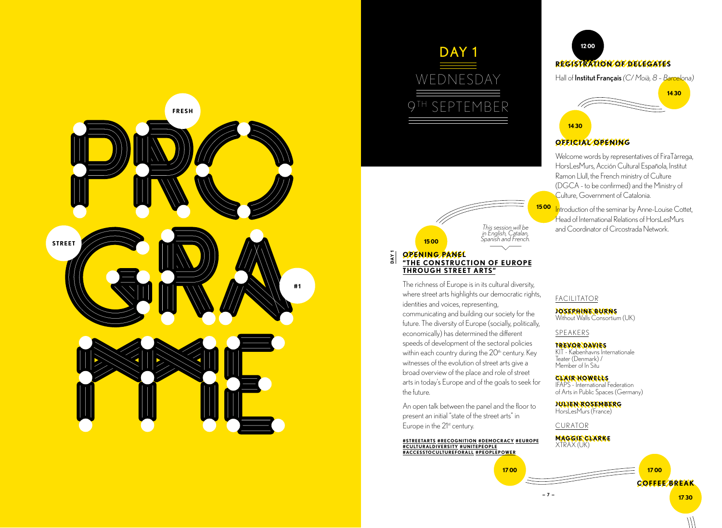



# **12** :**00 REGISTRATION OF DELEGATES**  Hall of Institut Français *(C/ Moià, 8 – Barcelona)*



### **OFFICIAL OPENING**

Welcome words by representatives of FiraTàrrega, HorsLesMurs, Acción Cultural Española, Institut Ramon Llull, the French ministry of Culture (DGCA - to be confirmed) and the Ministry of Culture, Government of Catalonia.

Introduction of the seminar by Anne-Louise Cottet, Head of International Relations of HorsLesMurs and Coordinator of Circostrada Network.

**OPENING PANEL "THE CONSTRUCTION OF EUROPE THROUGH STREET ARTS" DAY 1**

**15** :**00**

The richness of Europe is in its cultural diversity, where street arts highlights our democratic rights, identities and voices, representing, communicating and building our society for the future. The diversity of Europe (socially, politically, economically) has determined the different speeds of development of the sectoral policies within each country during the 20<sup>th</sup> century. Key witnesses of the evolution of street arts give a broad overview of the place and role of street arts in today's Europe and of the goals to seek for the future.

An open talk between the panel and the floor to present an initial "state of the street arts" in Europe in the 21st century.

**#STREETARTS #RECOGNITION #DEMOCRACY #EUROPE #CULTURALDIVERSITY #UNITEPEOPLE #ACCESSTOCULTUREFORALL #PEOPLEPOWER**

#### FACILITATOR

**15** :**00**

*This session will be in English, Catalan, Spanish and French.*

#### **JOSEPHINE BURNS** Without Walls Consortium (UK)

**SPEAKERS** 

#### **TREVOR DAVIES**

KIT - Københavns Internationale Teater (Denmark) / Member of In Situ

**CLAIR HOWELLS**

IFAPS - International Federation of Arts in Public Spaces (Germany)

#### **JULIEN ROSEMBERG** HorsLesMurs (France)

CURATOR



**17** :**00 COFFEE BREAK** 

**17** :**00**

**17** :**30**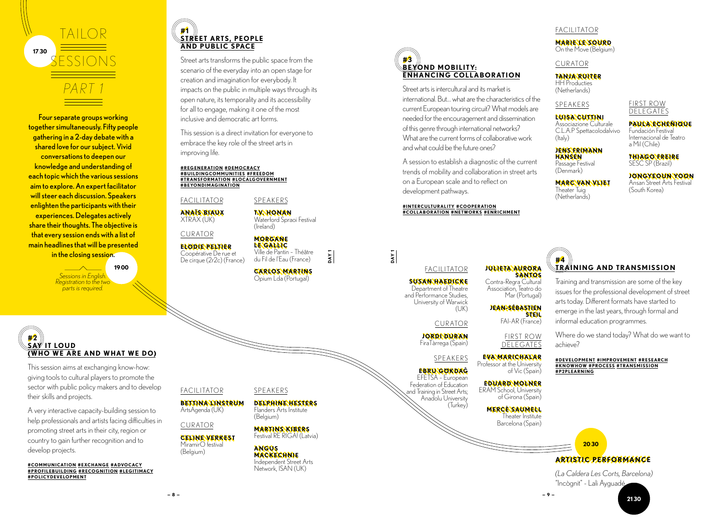

Four separate groups working together simultaneously. Fifty people gathering in a 2-day debate with a shared love for our subject. Vivid conversations to deepen our knowledge and understanding of each topic which the various sessions aim to explore. An expert facilitator will steer each discussion. Speakers enlighten the participants with their experiences. Delegates actively share their thoughts. The objective is that every session ends with a list of main headlines that will be presented

in the closing session.

**19**:**00** *Sessions in English. Registration to the two parts is required.*



This session aims at exchanging know-how: giving tools to cultural players to promote the sector with public policy makers and to develop their skills and projects.

A very interactive capacity-building session to help professionals and artists facing difficulties in promoting street arts in their city, region or country to gain further recognition and to develop projects.

**#COMMUNICATION #EXCHANGE #ADVOCACY #PROFILEBUILDING #RECOGNITION #LEGITIMACY #POLICYDEVELOPMENT**

#### **#1 STREET ARTS, PEOPLE AND PUBLIC SPACE**

Street arts transforms the public space from the scenario of the everyday into an open stage for creation and imagination for everybody. It impacts on the public in multiple ways through its open nature, its temporality and its accessibility for all to engage, making it one of the most inclusive and democratic art forms.

This session is a direct invitation for everyone to embrace the key role of the street arts in improving life.

**#REGENERATION #DEMOCRACY #BUILDINGCOMMUNITIES #FREEDOM #TRANSFORMATION #LOCALGOVERNMENT #BEYONDIMAGINATION**

FACILITATOR **ANAÏS BIAUX** XTRAX (UK) CURATOR **ELODIE PELTIER** Coopérative De rue et De cirque (2r2c) (France)

#### **SPFAKERS**

**T.V. HONAN** Waterford Spraoi Festival (Ireland)

**MORGANE LE GALLIC** Ville de Pantin – Théâtre du Fil de l'Eau (France)

> **CARLOS MARTINS** Opium Lda (Portugal)



#### FACILITATOR

**BETTINA LINSTRUM DELPHINE HESTERS** Flanders Arts Institute

> **MARTINS KIBERS** Festival RF RIGAL(Latvia)

**MACKECHNIE** Independent Street Arts Network, ISAN (UK)



Street arts is intercultural and its market is international. But… what are the characteristics of the current European touring circuit? What models are needed for the encouragement and dissemination of this genre through international networks? What are the current forms of collaborative work and what could be the future ones?

A session to establish a diagnostic of the current trends of mobility and collaboration in street arts on a European scale and to reflect on development pathways.

**#INTERCULTURALITY #COOPERATION #COLLABORATION #NETWORKS #ENRICHMENT**

 $(UK)$ CURATOR **JORDI DURAN** FiraTàrrega (Spain) **SPEAKERS EBRU GÖKDAGˆ** EFETSA – European Federation of Education and Training in Street Arts; Anadolu University

(Turkey)

FACILITATOR **SUSAN HAEDICKE** Department of Theatre and Performance Studies, University of Warwick FACILITATOR **MARIE LE SOURD** On the Move (Belgium)

CURATOR

#### **TANJA RUITER** HH Producties

(Netherlands)

**SPFAKFRS** 

## **LUISA CUTTINI**

Associazione Culturale C.L.A.P Spettacolodalvivo **PAULA ÉCHÊÑIQUE** Fundación Festival Internacional de Teatro

#### **JENS FRIMANN**

Theater Tuig (Netherlands)

 $($ Ital $v)$ 

**HANSEN** Passage Festival (Denmark)

**MARY SAAM JONGYEOUN YOON** Ansan Street Arts Festival

FIRST ROW **DELEGATES** 

a Mil (Chile) **THIAGO FREIRE** SESC SP (Brazil)

(South Korea)



### **TRAINING AND TRANSMISSION**

**SANTOS** Contra-Regra Cultural Association, Teatro do Mar (Portugal)

**JEAN-SÉBASTIEN STEIL** FAI-AR (France)

FIRST ROW DELEGATES

**EVA MARICHALAR** Professor at the University of Vic (Spain)

**EDUARD MOLNER** ERAM School, University of Girona (Spain)

> **MERCÈ SAUMELL** Theater Institute

Barcelona (Spain)

Training and transmission are some of the key issues for the professional development of street arts today. Different formats have started to

emerge in the last years, through formal and informal education programmes.

Where do we stand today? What do we want to achieve?

**#DEVELOPMENT #IMPROVEMENT #RESEARCH #KNOWHOW #PROCESS #TRANSMISSION #P2PLEARNING**

**ARTISTIC PERFORMANCE**

**20**:**30**

*(La Caldera Les Corts, Barcelona)*  "Incògnit" - Lali Ayguadé

ArtsAgenda (UK) CURATOR **CELINE VERKEST** MiramirO festival (Belgium)

**21**:**30**

**DAY 1**

**DAY 1**

**SPFAKFRS** 

(Belgium)

**ANGUS**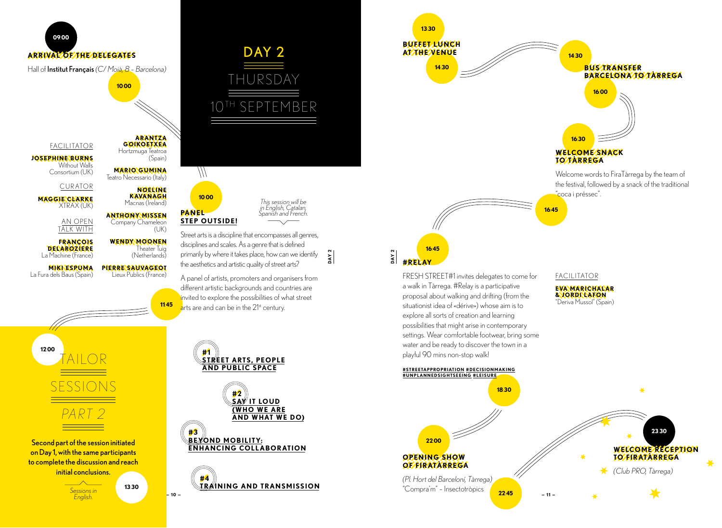

on Day 1, with the same participants to complete the discussion and reach initial conclusions.









Street arts is a discipline that encompasses all genres, disciplines and scales. As a genre that is defined primarily by where it takes place, how can we identify the aesthetics and artistic quality of street arts?

**DAY 2**

A panel of artists, promoters and organisers from different artistic backgrounds and countries are invited to explore the possibilities of what street arts are and can be in the 21<sup>st</sup> century.



**#4 TRAINING AND TRANSMISSION**



FRESH STREET#1 invites delegates to come for a walk in Tàrrega. #Relay is a participative proposal about walking and drifting (from the situationist idea of «dérive») whose aim is to explore all sorts of creation and learning possibilities that might arise in contemporary settings. Wear comfortable footwear, bring some water and be ready to discover the town in a playful 90 mins non-stop walk!

#### FACILITATOR

**EVA MARICHALAR & JORDI LAFON** "Deriva Mussol" (Spain)

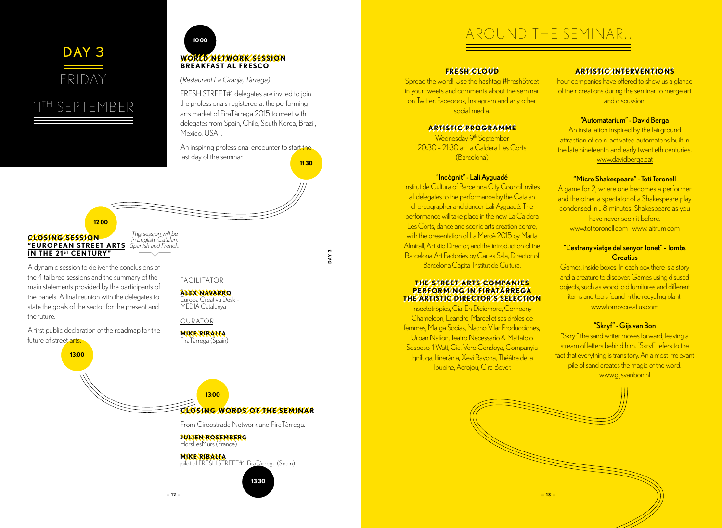

# **WORLD NETWORK SESSION BREAKFAST AL FRESCO**

*(Restaurant La Granja, Tàrrega)* 

**10**:**00**

FRESH STREET#1 delegates are invited to join the professionals registered at the performing arts market of FiraTàrrega 2015 to meet with delegates from Spain, Chile, South Korea, Brazil, Mexico, USA…

**11**:**30** An inspiring professional encounter to start the last day of the seminar.

**DAY 3**

### **CLOSING SESSION "EUROPEAN STREET ARTS IN THE 21<sup>ST</sup> CENTURY"**

A dynamic session to deliver the conclusions of the 4 tailored sessions and the summary of the main statements provided by the participants of the panels. A final reunion with the delegates to state the goals of the sector for the present and the future.

**12**:**00**

A first public declaration of the roadmap for the future of street arts.

**13**:**00**



*This session will be in English, Catalan, Spanish and French.*

Europa Creativa Desk – MEDIA Catalunya

CURATOR

**MIKE RIBALTA** FiraTàrrega (Spain)

**CLOSING WORDS OF THE SEMINAR**

From Circostrada Network and FiraTàrrega.

**JULIEN ROSEMBERG** HorsLesMurs (France)

**13**:**00**

**MIKE RIBALTA** pilot of FRESH STREET#1, FiraTàrrega (Spain)



# AROUND THE SEMINAR…

#### **FRESH CLOUD**

Spread the word! Use the hashtag #FreshStreet in your tweets and comments about the seminar on Twitter, Facebook, Instagram and any other social media.

#### **ARTISTIC PROGRAMME**

Wednesday 9<sup>th</sup> September 20:30 – 21:30 at La Caldera Les Corts (Barcelona)

#### "Incògnit" - Lali Ayguadé

Institut de Cultura of Barcelona City Council invites all delegates to the performance by the Catalan choreographer and dancer Lali Ayguadé. The performance will take place in the new La Caldera Les Corts, dance and scenic arts creation centre, with the presentation of La Mercè 2015 by Marta Almirall, Artistic Director, and the introduction of the Barcelona Art Factories by Carles Sala, Director of Barcelona Capital Institut de Cultura.

#### **THE STREET ARTS COMPANIES PERFORMING IN FIRATÀRREGA THE ARTISTIC DIRECTOR'S SELECTION**

Insectotròpics, Cia. En Diciembre, Company Chameleon, Leandre, Marcel et ses drôles de femmes, Marga Socias, Nacho Vilar Producciones, Urban Nation, Teatro Necessario & Mattatoio Sospeso, 1 Watt, Cia. Vero Cendoya, Companyia Ignífuga, Itinerània, Xevi Bayona, Théâtre de la Toupine, Acrojou, Circ Bover.

#### **ARTISTIC INTERVENTIONS**

Four companies have offered to show us a glance of their creations during the seminar to merge art and discussion.

#### "Automatarium" - David Berga

An installation inspired by the fairground attraction of coin-activated automatons built in the late nineteenth and early twentieth centuries. www.davidberga.cat

#### "Micro Shakespeare" - Toti Toronell

A game for 2, where one becomes a performer and the other a spectator of a Shakespeare play condensed in... 8 minutes! Shakespeare as you have never seen it before. www.totitoronell.com | www.laitrum.com

#### "L'estrany viatge del senyor Tonet" - Tombs **Creatius**

Games, inside boxes. In each box there is a story and a creature to discover. Games using disused objects, such as wood, old furnitures and different items and tools found in the recycling plant. www.tombscreatius.com

#### "Skryf" - Gijs van Bon

"Skryf" the sand writer moves forward, leaving a stream of letters behind him. "Skryf" refers to the fact that everything is transitory. An almost irrelevant pile of sand creates the magic of the word. www.gijsvanbon.nl

**— 12 — — 13 —**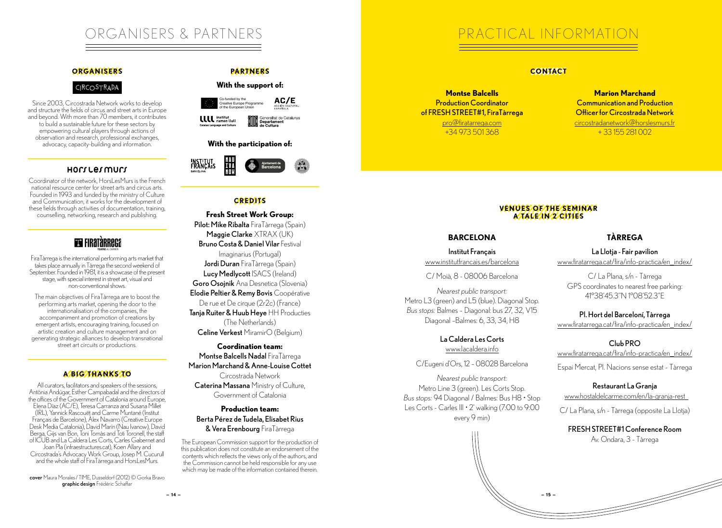# ORGANISERS & PARTNERS

#### **ORGANISERS**

**CIRCOSTRADA** 

Since 2003, Circostrada Network works to develop and structure the fields of circus and street arts in Europe and beyond. With more than 70 members, it contributes to build a sustainable future for these sectors by empowering cultural players through actions of observation and research, professional exchanges, advocacy, capacity-building and information.

#### HOCLLAIMUCL

Coordinator of the network, HorsLesMurs is the French national resource center for street arts and circus arts. Founded in 1993 and funded by the ministry of Culture and Communication, it works for the development of these fields through activities of documentation, training, counselling, networking, research and publishing.



FiraTàrrega is the international performing arts market that takes place annually in Tàrrega the second weekend of September. Founded in 1981, it is a showcase of the present stage, with special interest in street art, visual and non-conventional shows.

The main objectives of FiraTàrrega are to boost the performing arts market, opening the door to the internationalisation of the companies, the accompaniment and promotion of creations by emergent artists, encouraging training, focused on artistic creation and culture management and on generating strategic alliances to develop transnational street art circuits or productions.

#### **A BIG THANKS TO**

All curators, facilitators and speakers of the sessions, Antònia Andúgar, Esther Campabadal and the directors of the offices of the Government of Catalonia around Europe, Elena Díaz (AC/E), Teresa Carranza and Susana Millet (IRL), Yannick Rascouët and Carme Muntané (Institut Français de Barcelone), Àlex Navarro (Creative Europe Desk Media Catalonia), David Marín (Nau Ivanow), David Berga, Gijs van Bon, Toni Tomàs and Toti Toronell, the staff of ICUB and La Caldera Les Corts, Carles Gabernet and Joan Pla (infraestructures.cat), Koen Allary and Circostrada's Advocacy Work Group, Josep M. Cucurull and the whole staff of FiraTàrrega and HorsLesMurs.

cover Maura Morales/TIME, Dusseldorf (2012) © Gorka Bravo graphic design Frédéric Schaffar

#### **PARTNERS**

**With the support of:**

 $AC/E$ Co-funded by the Creative Europe Programme of the European Union



**With the participation of:**



#### **CREDITS**

**Fresh Street Work Group:**  Pilot: Mike Ribalta FiraTàrrega (Spain) Maggie Clarke XTRAX (UK) Bruno Costa & Daniel Vilar Festival Imaginarius (Portugal) Jordi Duran FiraTàrrega (Spain) Lucy Medlycott ISACS (Ireland) Goro Osoinik Ana Desnetica (Slovenia) Elodie Peltier & Remy Bovis Coopérative De rue et De cirque (2r2c) (France) Tania Ruiter & Huub Heve HH Producties (The Netherlands) Celine Verkest MiramirO (Belgium)

**Coordination team:**  Montse Balcells Nadal FiraTàrrega Marion Marchand & Anne-Louise Cottet Circostrada Network Caterina Massana Ministry of Culture, Government of Catalonia

#### **Production team:** Berta Pérez de Tudela, Elisabet Rius & Vera Erenbourg FiraTàrrega

The European Commission support for the production of this publication does not constitute an endorsement of the contents which reflects the views only of the authors, and the Commission cannot be held responsible for any use which may be made of the information contained therein.

# PRACTICAL INFORMATION

#### **CONTACT**

**Montse Balcells** Production Coordinator of FRESH STREET#1, FiraTàrrega pro@firatarrega.com +34 973 501 368

**Marion Marchand** Communication and Production Officer for Circostrada Network circostradanetwork@horslesmurs.fr  $+ 33155281002$ 

#### **VENUES OF THE SEMINAR A TALE IN 2 CITIES**

#### **BARCELONA**

Institut Français www.institutfrancais.es/barcelona

C/ Moià, 8 - 08006 Barcelona

*Nearest public transport:*  Metro L3 (green) and L5 (blue). Diagonal Stop. *Bus stops:* Balmes – Diagonal: bus 27, 32, V15 Diagonal –Balmes: 6, 33, 34, H8

## La Caldera Les Corts

www.lacaldera.info

C/Eugeni d'Ors, 12 – 08028 Barcelona

*Nearest public transport:*  Metro Line 3 (green). Les Corts Stop. *Bus stops:* 94 Diagonal / Balmes: Bus H8 • Stop Les Corts - Carles III • 2' walking (7:00 to 9:00 every 9 min)

#### **TÀRREGA**

La Llotja - Fair pavilion www.firatarrega.cat/fira/info-practica/en\_index/

C/ La Plana, s/n - Tàrrega GPS coordinates to nearest free parking: 41°38'45.3''N 1°08'52.3''E

Pl. Hort del Barceloní, Tàrrega www.firatarrega.cat/fira/info-practica/en\_index/

#### Club PRO

www.firatarrega.cat/fira/info-practica/en\_index/

Espai Mercat, Pl. Nacions sense estat - Tàrrega

# Restaurant La Granja

www.hostaldelcarme.com/en/la-granja-rest

C/ La Plana, s/n - Tàrrega (opposite La Llotia)

FRESH STREET#1 Conference Room Av. Ondara, 3 - Tàrrega

and the company of the company of the company of the company of the company of the company of the company of the company of the company of the company of the company of the company of the company of the company of the comp

**— 14 — — 15 —**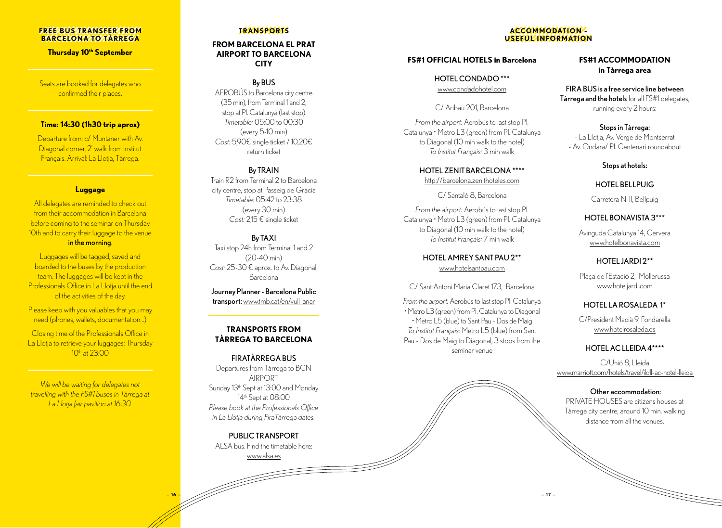#### **FREE BUS TRANSFER FROM BARCELONA TO TÀRREGA**

**Thursday 10<sup>th</sup> September** 

Seats are booked for delegates who confirmed their places.

#### **Time: 14:30 (1h30 trip aprox)**

Departure from: c/ Muntaner with Av. Diagonal corner, 2' walk from Institut Français. Arrival: La Llotia, Tàrrega.

#### **Luggage**

All delegates are reminded to check out from their accommodation in Barcelona before coming to the seminar on Thursday 10th and to carry their luggage to the venue in the morning.

Luggages will be tagged, saved and boarded to the buses by the production team. The luggages will be kept in the Professionals Office in La Llotja until the end of the activities of the day.

Please keep with you valuables that you may need (phones, wallets, documentation…)

Closing time of the Professionals Office in La Llotja to retrieve your luggages: Thursday  $10^{th}$  at  $23:00$ 

*We will be waiting for delegates not travelling with the FS#1 buses in Tàrrega at La Llotja fair pavilion at 16:30.*

## **TRANSPORTS**

#### **FROM BARCELONA EL PRAT AIRPORT TO BARCELONA CITY**

#### By BUS

AEROBÚS to Barcelona city centre (35 min), from Terminal 1 and 2 stop at Pl. Catalunya (last stop) *Timetable:* 05:00 to 00:30 (every 5-10 min) *Cost:* 5,90€ single ticket / 10,20€ return ticket

#### By TRAIN

Train R2 from Terminal 2 to Barcelona city centre, stop at Passeig de Gràcia *Timetable:* 05:42 to 23:38 (every 30 min) *Cost:* 2,15 € single ticket

### By TAXI

Taxi stop 24h from Terminal 1 and 2 (20-40 min) *Cost:* 25-30 € aprox. to Av. Diagonal, Barcelona

#### Journey Planner - Barcelona Public transport: www.tmb.cat/en/vull-anar

### **TRANSPORTS FROM TÀRREGA TO BARCELONA**

#### FIRATÀRREGA BUS

Departures from Tàrrega to BCN AIRPORT: Sunday 13<sup>th</sup> Sept at 13:00 and Monday 14th Sept at 08:00 *Please book at the Professionals Office in La Llotja during FiraTàrrega dates.*

#### PUBLIC TRANSPORT

ALSA bus. Find the timetable here: www.alsa.es

**— 16 — — 17 —**

#### **ACCOMMODATION - USEFUL INFORMATION**

#### **FS#1 OFFICIAL HOTELS in Barcelona**

HOTEL CONDADO \*\*\*

www.condadohotel.com

C/ Aribau 201, Barcelona

*From the airport:* Aerobús to last stop Pl. Catalunya • Metro L3 (green) from Pl. Catalunya to Diagonal (10 min walk to the hotel) *To Institut Français:* 3 min walk

#### HOTEL ZENIT BARCELONA \*\*\*\*

http://barcelona.zenithoteles.com

C/ Santaló 8, Barcelona

*From the airport:* Aerobús to last stop Pl. Catalunya • Metro L3 (green) from Pl. Catalunya to Diagonal (10 min walk to the hotel) *To Institut Français:* 7 min walk

### HOTEL AMREY SANT PALL2\*\* www.hotelsantpau.com

C/ Sant Antoni Maria Claret 173, Barcelona

*From the airport:* Aerobús to last stop Pl. Catalunya • Metro L3 (green) from Pl. Catalunya to Diagonal • Metro L5 (blue) to Sant Pau - Dos de Maig *To Institut Français:* Metro L5 (blue) from Sant Pau - Dos de Maig to Diagonal, 3 stops from the seminar venue

### **FS#1 ACCOMMODATION in Tàrrega area**

FIRA BUS is a free service line between Tàrrega and the hotels for all FS#1 delegates, running every 2 hours:

#### Stops in Tàrrega:

- La Llotja, Av. Verge de Montserrat - Av. Ondara/ Pl. Centenari roundabout

#### Stops at hotels:

#### HOTEL BELLPUIG

Carretera N-II, Bellpuig

### HOTEL BONAVISTA 3\*\*\*

Avinguda Catalunya 14, Cervera www.hotelbonavista.com

#### HOTEL JARDI 2\*\*

Plaça de l'Estació 2, Mollerussa www.hoteljardi.com

### HOTEL LA ROSALEDA 1\*

C/President Macià 9, Fondarella www.hotelrosaleda.es

#### HOTEL AC LLEIDA 4\*\*\*\*

C/Unió 8, Lleida www.marriott.com/hotels/travel/ildll-ac-hotel-lleida

### Other accommodation:

and the contract of the contract of the contract of the contract of the contract of the contract of the contract of the contract of the contract of the contract of the contract of the contract of the contract of the contra

PRIVATE HOUSES are citizens houses at Tàrrega city centre, around 10 min. walking distance from all the venues.